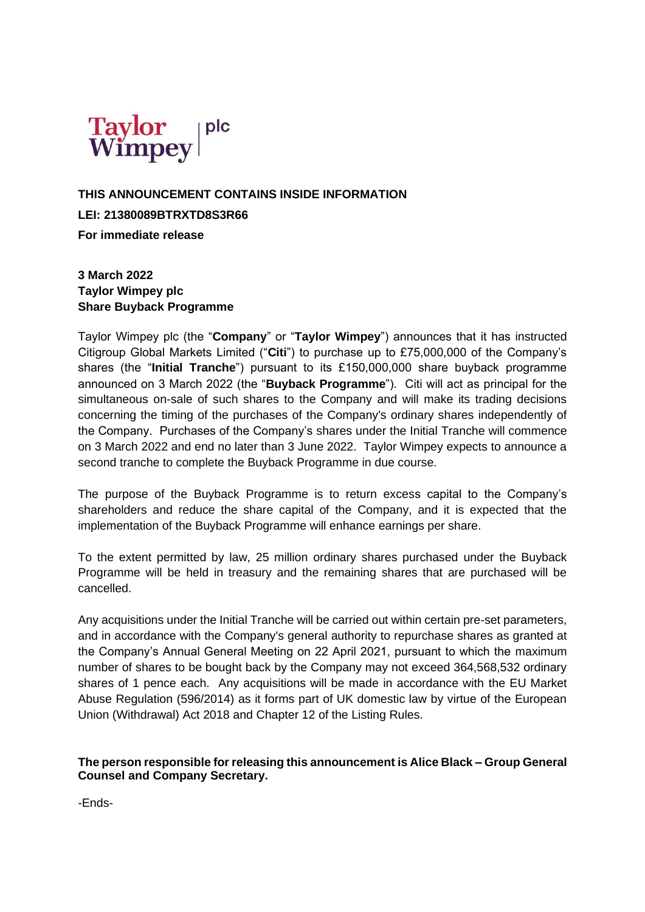

## **THIS ANNOUNCEMENT CONTAINS INSIDE INFORMATION LEI: 21380089BTRXTD8S3R66 For immediate release**

**3 March 2022 Taylor Wimpey plc Share Buyback Programme**

Taylor Wimpey plc (the "**Company**" or "**Taylor Wimpey**") announces that it has instructed Citigroup Global Markets Limited ("**Citi**") to purchase up to £75,000,000 of the Company's shares (the "**Initial Tranche**") pursuant to its £150,000,000 share buyback programme announced on 3 March 2022 (the "**Buyback Programme**"). Citi will act as principal for the simultaneous on-sale of such shares to the Company and will make its trading decisions concerning the timing of the purchases of the Company's ordinary shares independently of the Company. Purchases of the Company's shares under the Initial Tranche will commence on 3 March 2022 and end no later than 3 June 2022. Taylor Wimpey expects to announce a second tranche to complete the Buyback Programme in due course.

The purpose of the Buyback Programme is to return excess capital to the Company's shareholders and reduce the share capital of the Company, and it is expected that the implementation of the Buyback Programme will enhance earnings per share.

To the extent permitted by law, 25 million ordinary shares purchased under the Buyback Programme will be held in treasury and the remaining shares that are purchased will be cancelled.

Any acquisitions under the Initial Tranche will be carried out within certain pre-set parameters, and in accordance with the Company's general authority to repurchase shares as granted at the Company's Annual General Meeting on 22 April 2021, pursuant to which the maximum number of shares to be bought back by the Company may not exceed 364,568,532 ordinary shares of 1 pence each. Any acquisitions will be made in accordance with the EU Market Abuse Regulation (596/2014) as it forms part of UK domestic law by virtue of the European Union (Withdrawal) Act 2018 and Chapter 12 of the Listing Rules.

## **The person responsible for releasing this announcement is Alice Black – Group General Counsel and Company Secretary.**

-Ends-